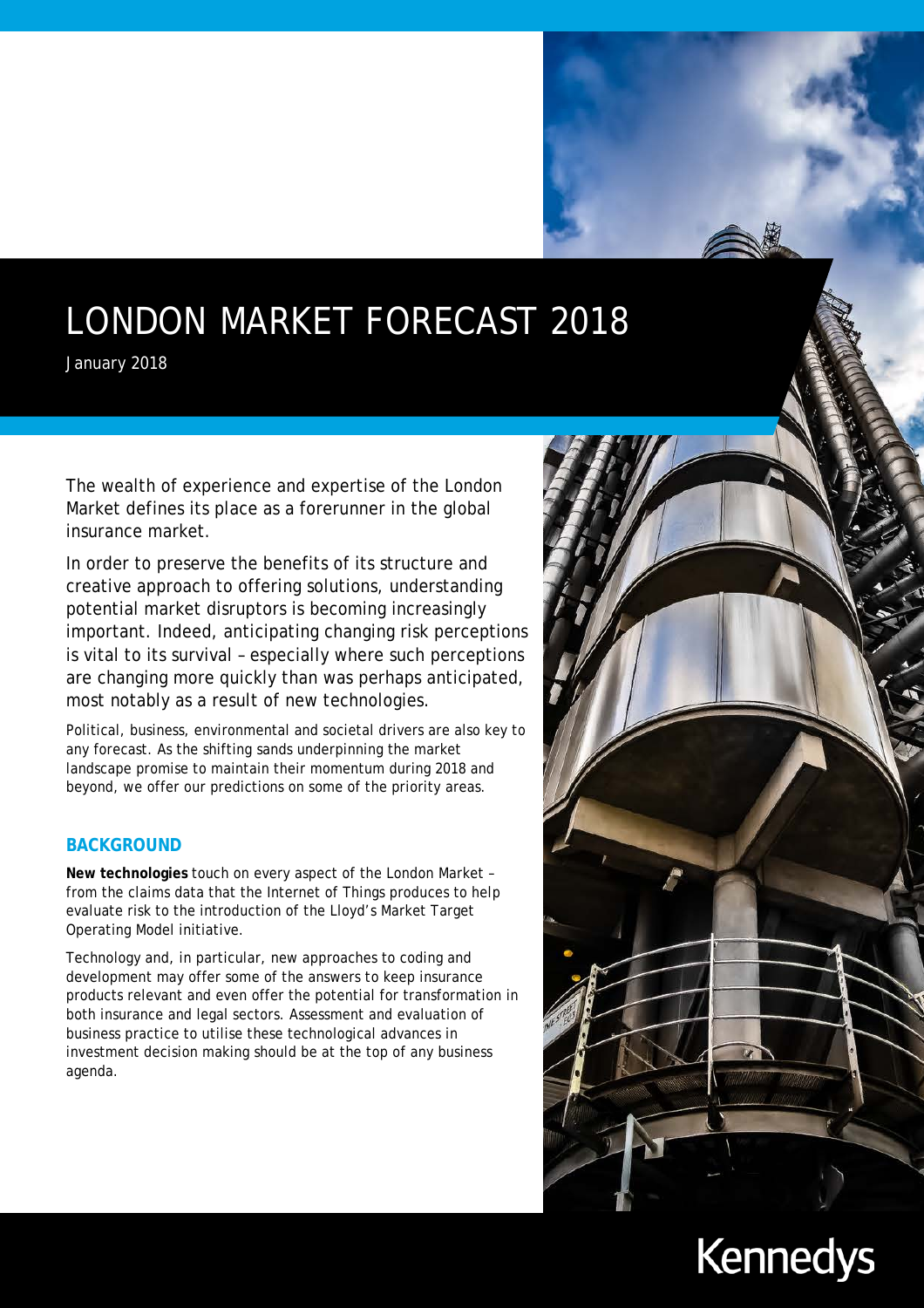# LONDON MARKET FORECAST 2018

January 2018

The wealth of experience and expertise of the London Market defines its place as a forerunner in the global insurance market.

In order to preserve the benefits of its structure and creative approach to offering solutions, understanding potential market disruptors is becoming increasingly important. Indeed, anticipating changing risk perceptions is vital to its survival – especially where such perceptions are changing more quickly than was perhaps anticipated, most notably as a result of new technologies.

Political, business, environmental and societal drivers are also key to any forecast. As the shifting sands underpinning the market landscape promise to maintain their momentum during 2018 and beyond, we offer our predictions on some of the priority areas.

# **BACKGROUND**

**New technologies** touch on every aspect of the London Market – from the claims data that the Internet of Things produces to help evaluate risk to the introduction of the Lloyd's Market Target Operating Model initiative.

Technology and, in particular, new approaches to coding and development may offer some of the answers to keep insurance products relevant and even offer the potential for transformation in both insurance and legal sectors. Assessment and evaluation of business practice to utilise these technological advances in investment decision making should be at the top of any business agenda.



# **Kennedys**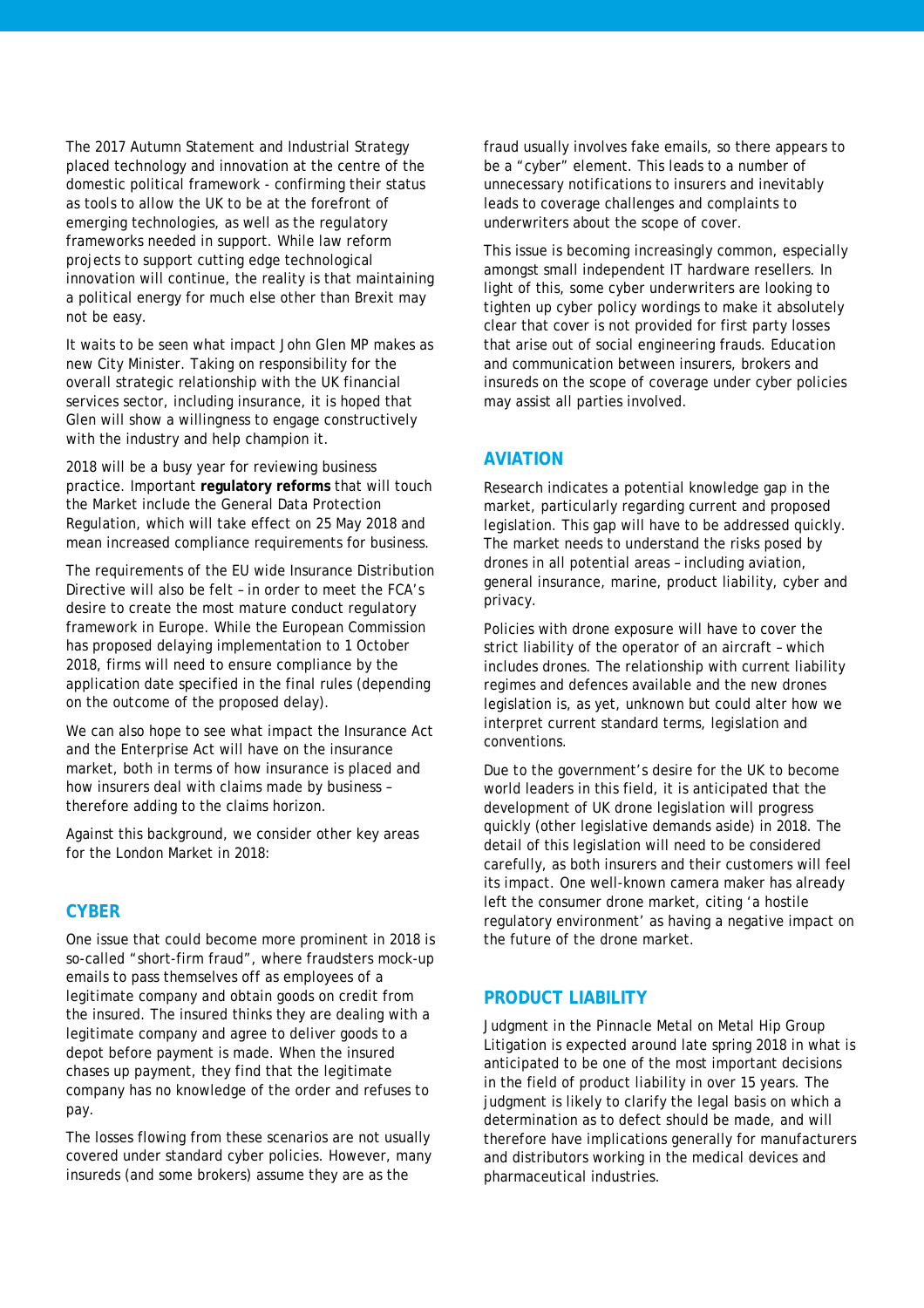The 2017 Autumn Statement and Industrial Strategy placed technology and innovation at the centre of the domestic political framework - confirming their status as tools to allow the UK to be at the forefront of emerging technologies, as well as the regulatory frameworks needed in support. While law reform projects to support cutting edge technological innovation will continue, the reality is that maintaining a political energy for much else other than Brexit may not be easy.

It waits to be seen what impact John Glen MP makes as new City Minister. Taking on responsibility for the overall strategic relationship with the UK financial services sector, including insurance, it is hoped that Glen will show a willingness to engage constructively with the industry and help champion it.

2018 will be a busy year for reviewing business practice. Important **regulatory reforms** that will touch the Market include the General Data Protection Regulation, which will take effect on 25 May 2018 and mean increased compliance requirements for business.

The requirements of the EU wide Insurance Distribution Directive will also be felt – in order to meet the FCA's desire to create the most mature conduct regulatory framework in Europe. While the European Commission has proposed delaying implementation to 1 October 2018, firms will need to ensure compliance by the application date specified in the final rules (depending on the outcome of the proposed delay).

We can also hope to see what impact the Insurance Act and the Enterprise Act will have on the insurance market, both in terms of how insurance is placed and how insurers deal with claims made by business – therefore adding to the claims horizon.

Against this background, we consider other key areas for the London Market in 2018:

#### **CYBER**

One issue that could become more prominent in 2018 is so-called "short-firm fraud", where fraudsters mock-up emails to pass themselves off as employees of a legitimate company and obtain goods on credit from the insured. The insured thinks they are dealing with a legitimate company and agree to deliver goods to a depot before payment is made. When the insured chases up payment, they find that the legitimate company has no knowledge of the order and refuses to pay.

The losses flowing from these scenarios are not usually covered under standard cyber policies. However, many insureds (and some brokers) assume they are as the

fraud usually involves fake emails, so there appears to be a "cyber" element. This leads to a number of unnecessary notifications to insurers and inevitably leads to coverage challenges and complaints to underwriters about the scope of cover.

This issue is becoming increasingly common, especially amongst small independent IT hardware resellers. In light of this, some cyber underwriters are looking to tighten up cyber policy wordings to make it absolutely clear that cover is not provided for first party losses that arise out of social engineering frauds. Education and communication between insurers, brokers and insureds on the scope of coverage under cyber policies may assist all parties involved.

#### **AVIATION**

Research indicates a potential knowledge gap in the market, particularly regarding current and proposed legislation. This gap will have to be addressed quickly. The market needs to understand the risks posed by drones in all potential areas – including aviation, general insurance, marine, product liability, cyber and privacy.

Policies with drone exposure will have to cover the strict liability of the operator of an aircraft – which includes drones. The relationship with current liability regimes and defences available and the new drones legislation is, as yet, unknown but could alter how we interpret current standard terms, legislation and conventions.

Due to the government's desire for the UK to become world leaders in this field, it is anticipated that the development of UK drone legislation will progress quickly (other legislative demands aside) in 2018. The detail of this legislation will need to be considered carefully, as both insurers and their customers will feel its impact. One well-known camera maker has already left the consumer drone market, citing 'a hostile regulatory environment' as having a negative impact on the future of the drone market.

### **PRODUCT LIABILITY**

Judgment in the Pinnacle Metal on Metal Hip Group Litigation is expected around late spring 2018 in what is anticipated to be one of the most important decisions in the field of product liability in over 15 years. The judgment is likely to clarify the legal basis on which a determination as to defect should be made, and will therefore have implications generally for manufacturers and distributors working in the medical devices and pharmaceutical industries.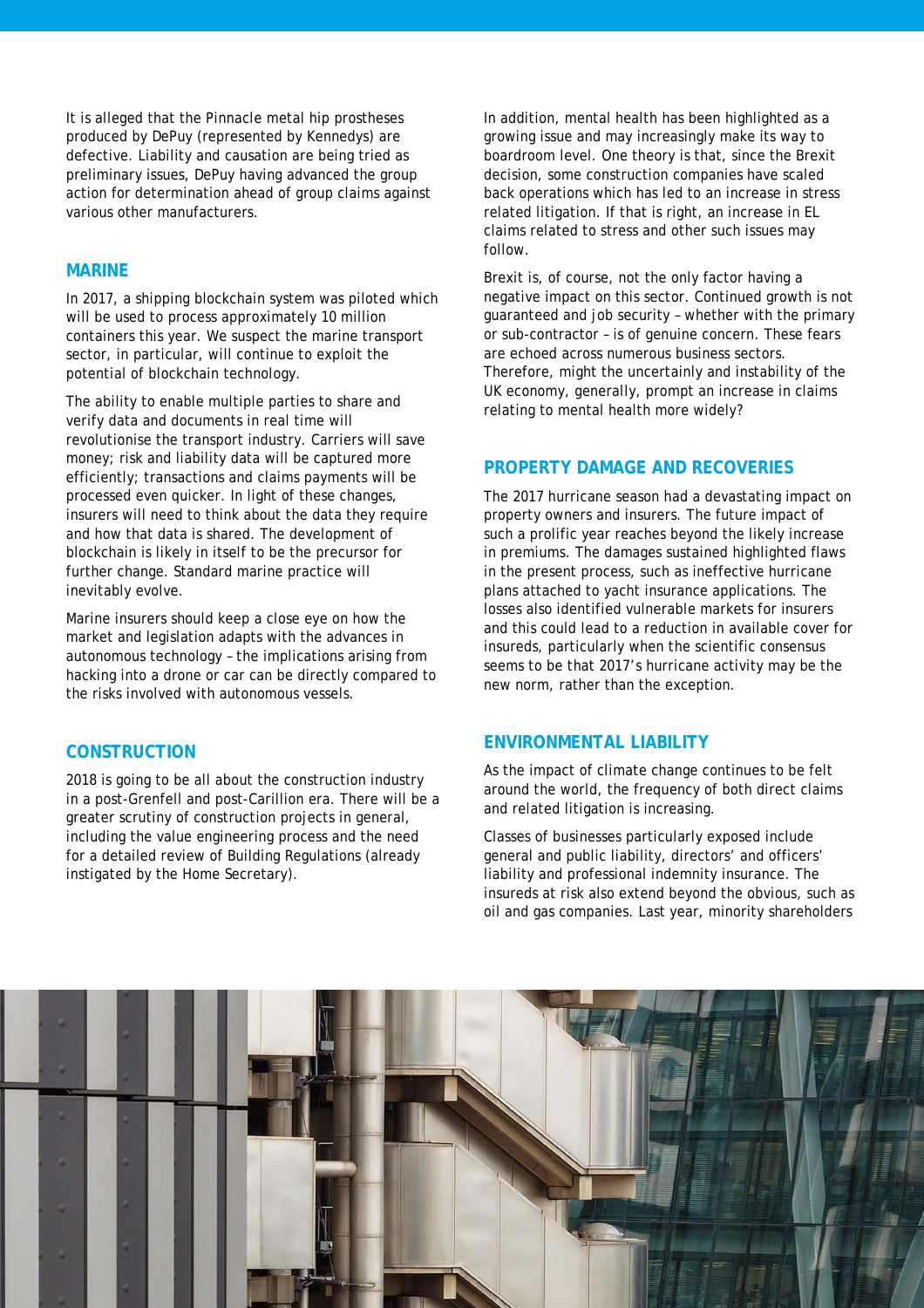It is alleged that the Pinnacle metal hip prostheses produced by DePuy (represented by Kennedys) are defective. Liability and causation are being tried as preliminary issues, DePuy having advanced the group action for determination ahead of group claims against various other manufacturers.

#### **MARINE**

In 2017, a shipping blockchain system was piloted which will be used to process approximately 10 million containers this year. We suspect the marine transport sector, in particular, will continue to exploit the potential of blockchain technology.

The ability to enable multiple parties to share and verify data and documents in real time will revolutionise the transport industry. Carriers will save money; risk and liability data will be captured more efficiently; transactions and claims payments will be processed even quicker. In light of these changes, insurers will need to think about the data they require and how that data is shared. The development of blockchain is likely in itself to be the precursor for further change. Standard marine practice will inevitably evolve.

Marine insurers should keep a close eye on how the market and legislation adapts with the advances in autonomous technology – the implications arising from hacking into a drone or car can be directly compared to the risks involved with autonomous vessels.

#### **CONSTRUCTION**

2018 is going to be all about the construction industry in a post-Grenfell and post-Carillion era. There will be a greater scrutiny of construction projects in general, including the value engineering process and the need for a detailed review of Building Regulations (already instigated by the Home Secretary).

In addition, mental health has been highlighted as a growing issue and may increasingly make its way to boardroom level. One theory is that, since the Brexit decision, some construction companies have scaled back operations which has led to an increase in stress related litigation. If that is right, an increase in EL claims related to stress and other such issues may follow.

Brexit is, of course, not the only factor having a negative impact on this sector. Continued growth is not guaranteed and job security – whether with the primary or sub-contractor – is of genuine concern. These fears are echoed across numerous business sectors. Therefore, might the uncertainly and instability of the UK economy, generally, prompt an increase in claims relating to mental health more widely?

#### **PROPERTY DAMAGE AND RECOVERIES**

The 2017 hurricane season had a devastating impact on property owners and insurers. The future impact of such a prolific year reaches beyond the likely increase in premiums. The damages sustained highlighted flaws in the present process, such as ineffective hurricane plans attached to yacht insurance applications. The losses also identified vulnerable markets for insurers and this could lead to a reduction in available cover for insureds, particularly when the scientific consensus seems to be that 2017's hurricane activity may be the new norm, rather than the exception.

# **ENVIRONMENTAL LIABILITY**

As the impact of climate change continues to be felt around the world, the frequency of both direct claims and related litigation is increasing.

Classes of businesses particularly exposed include general and public liability, directors' and officers' liability and professional indemnity insurance. The insureds at risk also extend beyond the obvious, such as oil and gas companies. Last year, minority shareholders